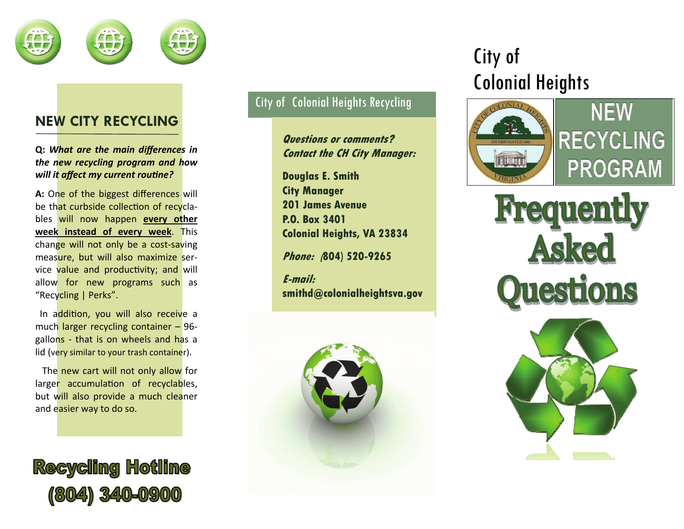

## **NEW CITY RECYCLING**

**Q:** *What are the main differences in the new recycling program and how will it <sup>a</sup>ffect my current rouƟne?*

**A:** One of the biggest differences will be th<mark>at curbside collection of recy</mark>clables will now happen **every other week instead of every week**. This change will not only be a cost-saving measure, but will also maximize service value and productivity; and will allow for new programs such as "Recycling | Perks".

In a<mark>ddition, you will also receiv</mark>e a much larger recycling container – 96 gallons - that is on wheels and has <sup>a</sup> lid (v<mark>ery similar to your trash containe</mark>r).

The new cart will not only allow for larger accumulation of recyclables, but will also provide a much cleaner and easier way to do so.



### City of Colonial Heights Recycling

**Questions or comments? Contact the CH City Manager:** 

**Douglas E. Smith City Manager 201 James Avenue P.O. Box 3401 Colonial Heights, VA 23834** 

**Phone: (804) 520-9265** 

**E-mail: smithd@colonialheightsva.gov** 



# City of Colonial Heights



NEW **RECYCLING PROGRAM** 

**Frequently** Asked **Questions**